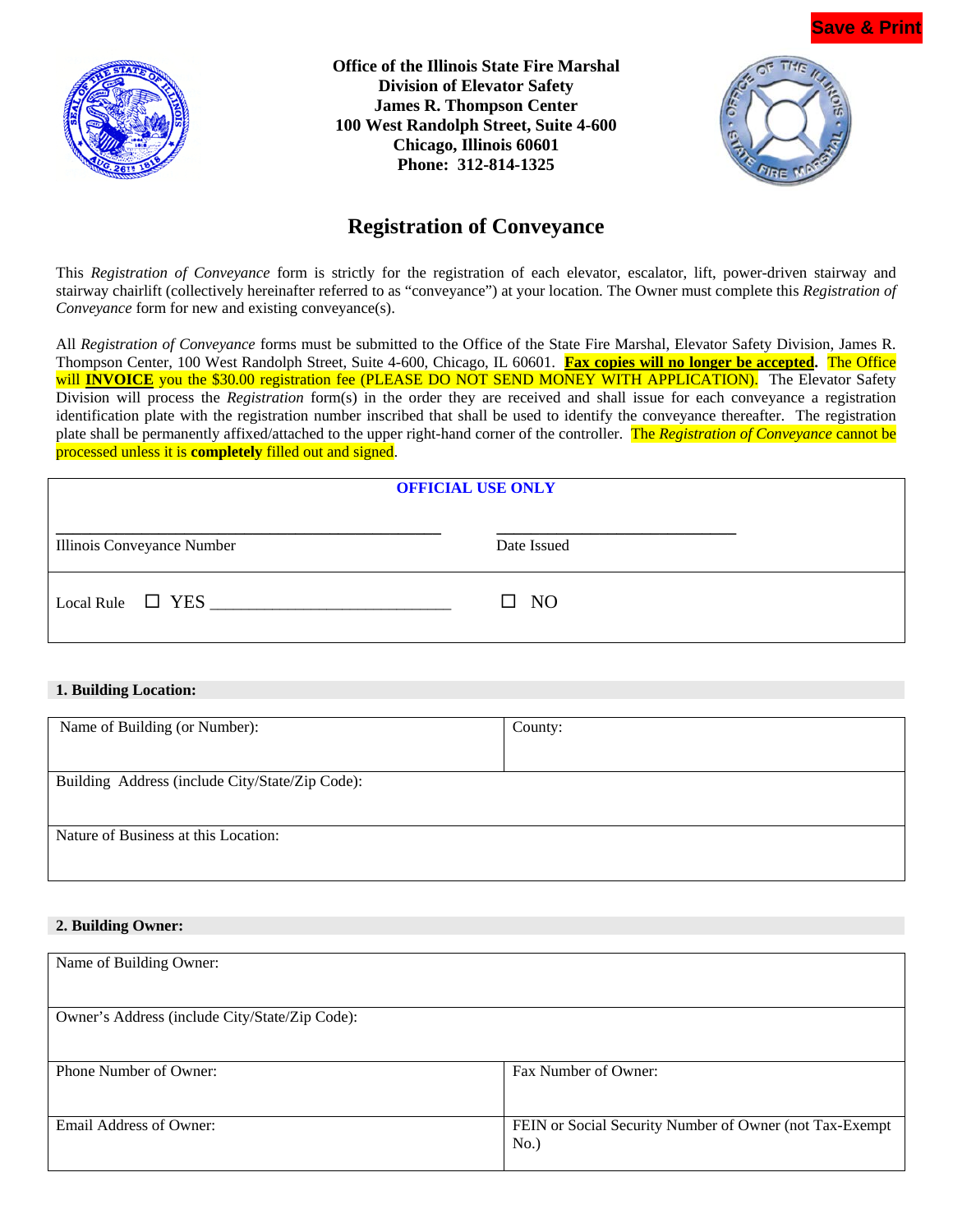

**Office of the Illinois State Fire Marshal Division of Elevator Safety James R. Thompson Center 100 West Randolph Street, Suite 4-600 Chicago, Illinois 60601 Phone: 312-814-1325**



# **Registration of Conveyance**

This *Registration of Conveyance* form is strictly for the registration of each elevator, escalator, lift, power-driven stairway and stairway chairlift (collectively hereinafter referred to as "conveyance") at your location. The Owner must complete this *Registration of Conveyance* form for new and existing conveyance(s).

All *Registration of Conveyance* forms must be submitted to the Office of the State Fire Marshal, Elevator Safety Division, James R. Thompson Center, 100 West Randolph Street, Suite 4-600, Chicago, IL 60601. **Fax copies will no longer be accepted.** The Office will **INVOICE** you the \$30.00 registration fee (PLEASE DO NOT SEND MONEY WITH APPLICATION). The Elevator Safety Division will process the *Registration* form(s) in the order they are received and shall issue for each conveyance a registration identification plate with the registration number inscribed that shall be used to identify the conveyance thereafter. The registration plate shall be permanently affixed/attached to the upper right-hand corner of the controller. The *Registration of Conveyance* cannot be processed unless it is **completely** filled out and signed.

| <b>OFFICIAL USE ONLY</b>   |              |  |
|----------------------------|--------------|--|
| Illinois Conveyance Number | Date Issued  |  |
| Local Rule $\Box$ YES      | $\square$ NO |  |

#### **1. Building Location:**

| County: |
|---------|
|         |
|         |
|         |
|         |
|         |

#### **2. Building Owner:**

| Fax Number of Owner:                                    |
|---------------------------------------------------------|
|                                                         |
|                                                         |
| FEIN or Social Security Number of Owner (not Tax-Exempt |
| No.)                                                    |
|                                                         |
|                                                         |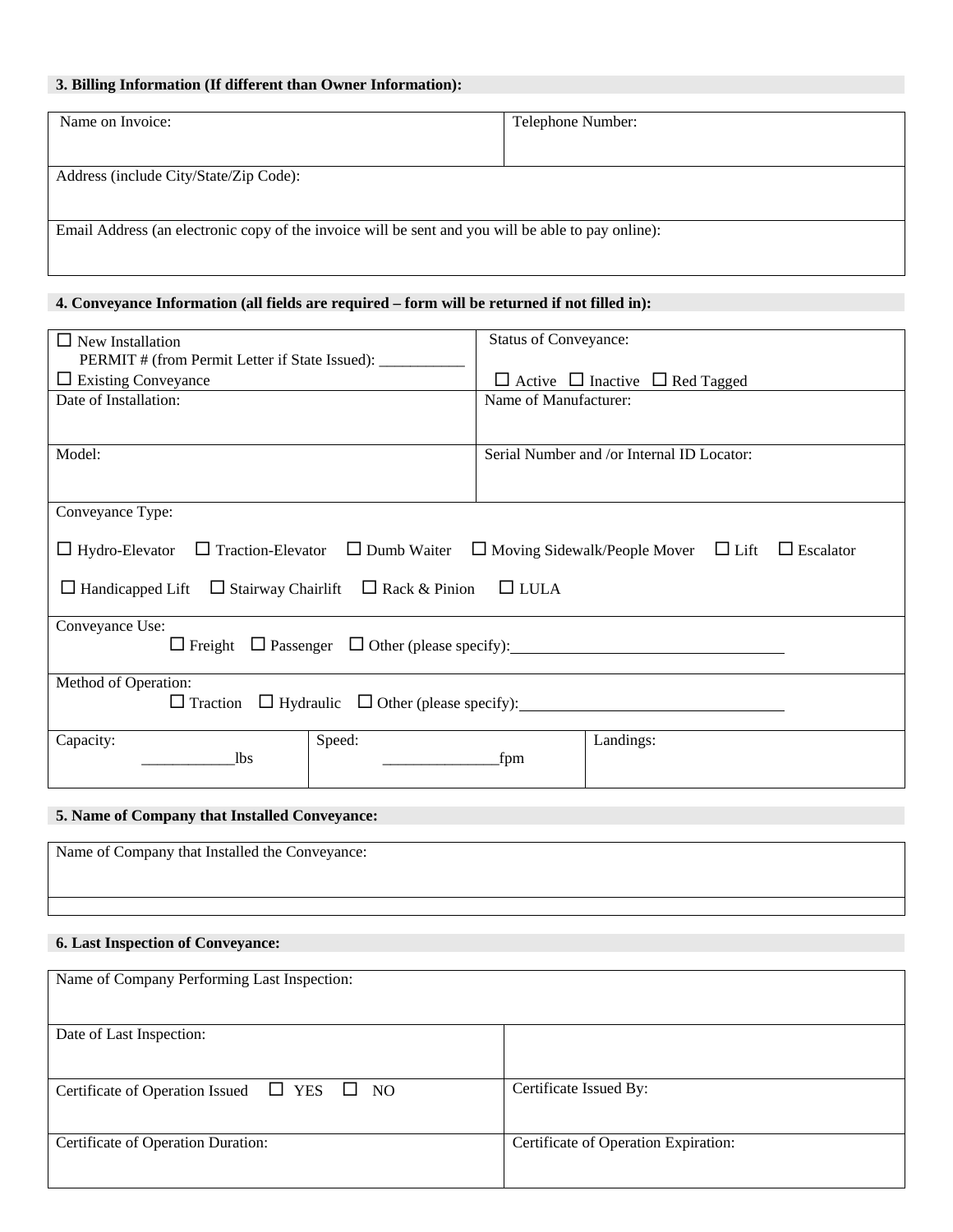### **3. Billing Information (If different than Owner Information):**

| Name on Invoice:                                                                                   | Telephone Number: |  |
|----------------------------------------------------------------------------------------------------|-------------------|--|
|                                                                                                    |                   |  |
| Address (include City/State/Zip Code):                                                             |                   |  |
|                                                                                                    |                   |  |
| Email Address (an electronic copy of the invoice will be sent and you will be able to pay online): |                   |  |
|                                                                                                    |                   |  |
|                                                                                                    |                   |  |

## **4. Conveyance Information (all fields are required – form will be returned if not filled in):**

| $\Box$ New Installation                                                                                                                                                                                                  | <b>Status of Conveyance:</b>                    |  |
|--------------------------------------------------------------------------------------------------------------------------------------------------------------------------------------------------------------------------|-------------------------------------------------|--|
| PERMIT # (from Permit Letter if State Issued): ____________                                                                                                                                                              |                                                 |  |
| $\Box$ Existing Conveyance                                                                                                                                                                                               | $\Box$ Active $\Box$ Inactive $\Box$ Red Tagged |  |
| Date of Installation:                                                                                                                                                                                                    | Name of Manufacturer:                           |  |
|                                                                                                                                                                                                                          |                                                 |  |
| Model:                                                                                                                                                                                                                   | Serial Number and /or Internal ID Locator:      |  |
|                                                                                                                                                                                                                          |                                                 |  |
| Conveyance Type:                                                                                                                                                                                                         |                                                 |  |
| $\Box$ Hydro-Elevator $\Box$ Traction-Elevator $\Box$ Dumb Waiter $\Box$ Moving Sidewalk/People Mover $\Box$ Lift $\Box$ Escalator<br>$\Box$ Handicapped Lift $\Box$ Stairway Chairlift $\Box$ Rack & Pinion $\Box$ LULA |                                                 |  |
| Conveyance Use:                                                                                                                                                                                                          |                                                 |  |
| Method of Operation:<br>$\Box$ Traction $\Box$ Hydraulic $\Box$ Other (please specify):                                                                                                                                  |                                                 |  |
| Speed:<br>Capacity:<br><b>lbs</b>                                                                                                                                                                                        | Landings:<br>fpm                                |  |

### **5. Name of Company that Installed Conveyance:**

| Name of Company that Installed the Conveyance: |  |
|------------------------------------------------|--|
|                                                |  |

### **6. Last Inspection of Conveyance:**

| Name of Company Performing Last Inspection:             |                                      |
|---------------------------------------------------------|--------------------------------------|
| Date of Last Inspection:                                |                                      |
| Certificate of Operation Issued $\Box$ YES<br>$\Box$ NO | Certificate Issued By:               |
| Certificate of Operation Duration:                      | Certificate of Operation Expiration: |